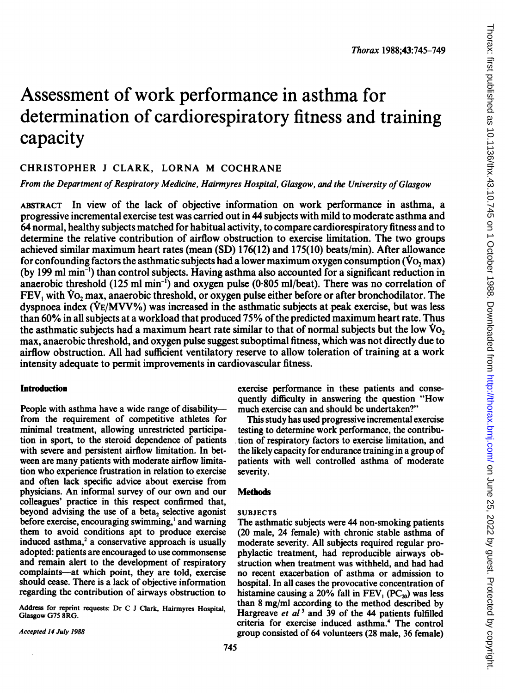## Assessment of work performance in asthma for determination of cardiorespiratory fitness and training capacity

### CHRISTOPHER <sup>J</sup> CLARK, LORNA M COCHRANE

From the Department of Respiratory Medicine, Hairmyres Hospital, Glasgow, and the University of Glasgow

ABSTRACT In view of the lack of objective information on work performance in asthma, a progressive incremental exercise test was carried out in 44 subjects with mild to moderate asthma and 64 normal, healthy subjects matched for habitual activity, to compare cardiorespiratory fitness and to determine the relative contribution of airflow obstruction to exercise limitation. The two groups achieved similar maximum heart rates (mean (SD) 176(12) and 175(10) beats/min). After allowance for confounding factors the asthmatic subjects had a lower maximum oxygen consumption ( $\dot{V}o$ , max) (by 199 ml min-) than control subjects. Having asthma also accounted for a significant reduction in anaerobic threshold  $(125 \text{ ml min}^{-1})$  and oxygen pulse  $(0.805 \text{ ml/beat})$ . There was no correlation of  $FEV$ , with  $\dot{V}o$ , max, anaerobic threshold, or oxygen pulse either before or after bronchodilator. The dyspnoea index (VE/MW%) was increased in the asthmatic subjects at peak exercise, but was less than 60% in all subjects at a workload that produced 75% ofthe predicted maximum heart rate. Thus the asthmatic subjects had a maximum heart rate similar to that of normal subjects but the low  $\dot{V}$ o. max, anaerobic threshold, and oxygen pulse suggest suboptimal fitness, which was not directly due to airflow obstruction. All had sufficient ventilatory reserve to allow toleration of training at a work intensity adequate to permit improvements in cardiovascular fitness.

#### Introduction

People with asthma have a wide range of disabilityfrom the requirement of competitive athletes for minimal treatment, allowing unrestricted participation in sport, to the steroid dependence of patients with severe and persistent airflow limitation. In between are many patients with moderate airflow limitation who experience frustration in relation to exercise and often lack specific advice about exercise from physicians. An informal survey of our own and our colleagues' practice in this respect confirmed that, beyond advising the use of a beta, selective agonist before exercise, encouraging swimming,' and warning them to avoid conditions apt to produce exercise induced asthma,<sup>2</sup> a conservative approach is usually adopted: patients are encouraged to use commonsense and remain alert to the development of respiratory complaints-at which point, they are told, exercise should cease. There is a lack of objective information regarding the contribution of airways obstruction to

Address for reprint requests: Dr C <sup>J</sup> Clark, Hairmyres Hospital, Glasgow G75 8RG.

Accepted 14 July 1988

exercise performance in these patients and consequently difficulty in answering the question "How much exercise can and should be undertaken?"

This study has used progressive incremental exercise testing to determine work performance, the contribution of respiratory factors to exercise limitation, and the likely capacity for endurance training in a group of patients with well controlled asthma of moderate severity.

#### **Methods**

#### SUBJECTS

The asthmatic subjects were 44 non-smoking patients (20 male, 24 female) with chronic stable asthma of moderate severity. All subjects required regular prophylactic treatment, had reproducible airways obstruction when treatment was withheld, and had had no recent exacerbation of asthma or admission to hospital. In all cases the provocative concentration of histamine causing a 20% fall in  $FEV_1$  (PC<sub>20</sub>) was less than 8 mg/ml according to the method described by Hargreave et  $al<sup>3</sup>$  and 39 of the 44 patients fulfilled criteria for exercise induced asthma.<sup>4</sup> The control group consisted of 64 volunteers (28 male, 36 female)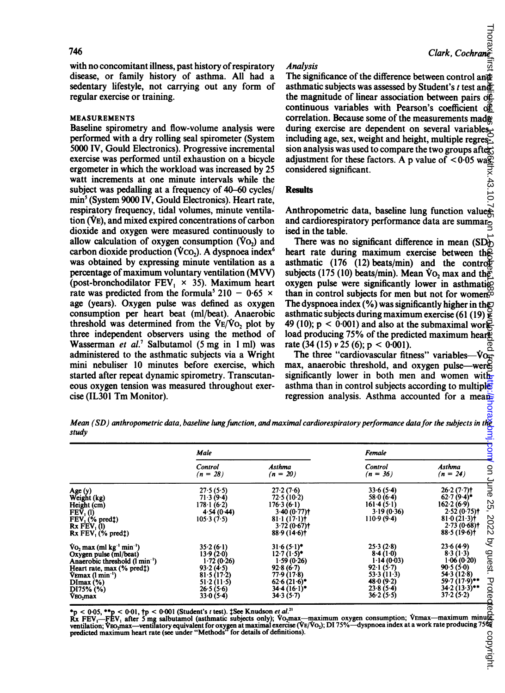#### MEASUREMENTS

#### Analysis

#### Results

Mean (SD) anthropometric data, baseline lung function, and maximal cardiorespiratory performance data for the subjects in the study

|                                                                                                                                                                                                                                                                                                                                                                                       |                                        |            |                                                                                                                                                                                                                                                                   |                                                                                                                          | <del>لـــا</del><br>Clark, Cochrane    |                                                                                                                        |  |  |                                                                                                                    |                                                    |  |
|---------------------------------------------------------------------------------------------------------------------------------------------------------------------------------------------------------------------------------------------------------------------------------------------------------------------------------------------------------------------------------------|----------------------------------------|------------|-------------------------------------------------------------------------------------------------------------------------------------------------------------------------------------------------------------------------------------------------------------------|--------------------------------------------------------------------------------------------------------------------------|----------------------------------------|------------------------------------------------------------------------------------------------------------------------|--|--|--------------------------------------------------------------------------------------------------------------------|----------------------------------------------------|--|
| 746                                                                                                                                                                                                                                                                                                                                                                                   |                                        |            |                                                                                                                                                                                                                                                                   |                                                                                                                          |                                        |                                                                                                                        |  |  |                                                                                                                    |                                                    |  |
| with no concomitant illness, past history of respiratory<br>disease, or family history of asthma. All had a<br>sedentary lifestyle, not carrying out any form of<br>regular exercise or training.                                                                                                                                                                                     |                                        |            | <b>Analysis</b><br>The significance of the difference between control and<br>asthmatic subjects was assessed by Student's t test and<br>the magnitude of linear association between pairs $\overline{of}$ .<br>continuous variables with Pearson's coefficient of |                                                                                                                          |                                        |                                                                                                                        |  |  |                                                                                                                    |                                                    |  |
| <b>MEASUREMENTS</b>                                                                                                                                                                                                                                                                                                                                                                   |                                        |            |                                                                                                                                                                                                                                                                   | correlation. Because some of the measurements made                                                                       |                                        |                                                                                                                        |  |  |                                                                                                                    |                                                    |  |
| Baseline spirometry and flow-volume analysis were                                                                                                                                                                                                                                                                                                                                     |                                        |            | during exercise are dependent on several variables.                                                                                                                                                                                                               |                                                                                                                          |                                        |                                                                                                                        |  |  |                                                                                                                    |                                                    |  |
| performed with a dry rolling seal spirometer (System<br>5000 IV, Gould Electronics). Progressive incremental                                                                                                                                                                                                                                                                          |                                        |            | including age, sex, weight and height, multiple regres-<br>sion analysis was used to compare the two groups after.                                                                                                                                                |                                                                                                                          |                                        |                                                                                                                        |  |  |                                                                                                                    |                                                    |  |
| exercise was performed until exhaustion on a bicycle<br>ergometer in which the workload was increased by 25                                                                                                                                                                                                                                                                           |                                        |            | adjustment for these factors. A p value of $\leq 0.05$ was<br>considered significant.                                                                                                                                                                             |                                                                                                                          |                                        |                                                                                                                        |  |  |                                                                                                                    |                                                    |  |
| watt increments at one minute intervals while the                                                                                                                                                                                                                                                                                                                                     |                                        |            |                                                                                                                                                                                                                                                                   |                                                                                                                          | м. 43.                                 |                                                                                                                        |  |  |                                                                                                                    |                                                    |  |
| subject was pedalling at a frequency of 40–60 cycles/                                                                                                                                                                                                                                                                                                                                 |                                        |            | <b>Results</b>                                                                                                                                                                                                                                                    |                                                                                                                          |                                        |                                                                                                                        |  |  |                                                                                                                    |                                                    |  |
| min <sup>5</sup> (System 9000 IV, Gould Electronics). Heart rate,<br>respiratory frequency, tidal volumes, minute ventila-<br>tion (VE), and mixed expired concentrations of carbon<br>dioxide and oxygen were measured continuously to<br>allow calculation of oxygen consumption $(\dot{V}o_2)$ and<br>carbon dioxide production (Vco <sub>2</sub> ). A dyspnoea index <sup>6</sup> |                                        |            | Anthropometric data, baseline lung function values<br>and cardiorespiratory performance data are summaro<br>ised in the table.<br>There was no significant difference in mean $(SD)$<br>heart rate during maximum exercise between the                            |                                                                                                                          |                                        |                                                                                                                        |  |  |                                                                                                                    |                                                    |  |
|                                                                                                                                                                                                                                                                                                                                                                                       |                                        |            |                                                                                                                                                                                                                                                                   |                                                                                                                          |                                        | was obtained by expressing minute ventilation as a                                                                     |  |  | asthmatic (176 (12) beats/min) and the control                                                                     |                                                    |  |
|                                                                                                                                                                                                                                                                                                                                                                                       |                                        |            |                                                                                                                                                                                                                                                                   |                                                                                                                          |                                        | percentage of maximum voluntary ventilation (MVV)<br>(post-bronchodilator FEV <sub>1</sub> $\times$ 35). Maximum heart |  |  | subjects (175 (10) beats/min). Mean $\rm{Vo}_2$ max and the<br>oxygen pulse were significantly lower in asthmatics |                                                    |  |
|                                                                                                                                                                                                                                                                                                                                                                                       |                                        |            |                                                                                                                                                                                                                                                                   |                                                                                                                          |                                        | rate was predicted from the formula <sup>5</sup> 210 - 0.65 $\times$                                                   |  |  |                                                                                                                    | than in control subjects for men but not for women |  |
| age (years). Oxygen pulse was defined as oxygen<br>consumption per heart beat (ml/beat). Anaerobic                                                                                                                                                                                                                                                                                    |                                        |            |                                                                                                                                                                                                                                                                   | The dyspnoea index $(\% )$ was significantly higher in the<br>asthmatic subjects during maximum exercise (61 (19) $\geq$ |                                        |                                                                                                                        |  |  |                                                                                                                    |                                                    |  |
| threshold was determined from the $V_{E}/V_{O_2}$ plot by                                                                                                                                                                                                                                                                                                                             |                                        |            |                                                                                                                                                                                                                                                                   | 49 (10); $p < 0.001$ ) and also at the submaximal work                                                                   |                                        |                                                                                                                        |  |  |                                                                                                                    |                                                    |  |
| three independent observers using the method of                                                                                                                                                                                                                                                                                                                                       |                                        |            |                                                                                                                                                                                                                                                                   | load producing 75% of the predicted maximum hears                                                                        |                                        |                                                                                                                        |  |  |                                                                                                                    |                                                    |  |
| Wasserman et al. <sup>7</sup> Salbutamol (5 mg in 1 ml) was<br>administered to the asthmatic subjects via a Wright                                                                                                                                                                                                                                                                    |                                        |            |                                                                                                                                                                                                                                                                   | rate $(34 (15) v 25 (6); p < 0.001)$ .<br>The three "cardiovascular fitness" variables— $\dot{V}$ O <sub>st</sub>        |                                        |                                                                                                                        |  |  |                                                                                                                    |                                                    |  |
| mini nebuliser 10 minutes before exercise, which                                                                                                                                                                                                                                                                                                                                      |                                        |            |                                                                                                                                                                                                                                                                   | max, anaerobic threshold, and oxygen pulse—were                                                                          |                                        |                                                                                                                        |  |  |                                                                                                                    |                                                    |  |
| started after repeat dynamic spirometry. Transcutan-                                                                                                                                                                                                                                                                                                                                  |                                        |            |                                                                                                                                                                                                                                                                   | significantly lower in both men and women with                                                                           |                                        |                                                                                                                        |  |  |                                                                                                                    |                                                    |  |
| eous oxygen tension was measured throughout exer-<br>cise (IL301 Tm Monitor).                                                                                                                                                                                                                                                                                                         |                                        |            |                                                                                                                                                                                                                                                                   | asthma than in control subjects according to multiplet<br>regression analysis. Asthma accounted for a mean               |                                        |                                                                                                                        |  |  |                                                                                                                    |                                                    |  |
|                                                                                                                                                                                                                                                                                                                                                                                       |                                        |            |                                                                                                                                                                                                                                                                   |                                                                                                                          |                                        |                                                                                                                        |  |  |                                                                                                                    |                                                    |  |
| Mean (SD) anthropometric data, baseline lung function, and maximal cardiorespiratory performance data for the subjects in the study<br>study<br>Male                                                                                                                                                                                                                                  |                                        |            |                                                                                                                                                                                                                                                                   |                                                                                                                          |                                        |                                                                                                                        |  |  |                                                                                                                    |                                                    |  |
|                                                                                                                                                                                                                                                                                                                                                                                       |                                        |            |                                                                                                                                                                                                                                                                   |                                                                                                                          |                                        |                                                                                                                        |  |  |                                                                                                                    |                                                    |  |
|                                                                                                                                                                                                                                                                                                                                                                                       | Control                                | Asthma     |                                                                                                                                                                                                                                                                   | Control                                                                                                                  | $\overline{S}$<br>Asthma<br>$(n = 24)$ |                                                                                                                        |  |  |                                                                                                                    |                                                    |  |
|                                                                                                                                                                                                                                                                                                                                                                                       | $(n = 28)$                             | $(n = 20)$ |                                                                                                                                                                                                                                                                   | $(n = 36)$                                                                                                               |                                        |                                                                                                                        |  |  |                                                                                                                    |                                                    |  |
| Age (y)<br>Weight (kg)                                                                                                                                                                                                                                                                                                                                                                | 27.5(5.5)<br>71.3(9.4)                 |            | 27.2(7.6)<br>72.5(10.2)                                                                                                                                                                                                                                           | 33.6(5.4)<br>58.0(6.4)                                                                                                   | aune<br>$26.2(7.7)$ t<br>$62.7(9.4)$ * |                                                                                                                        |  |  |                                                                                                                    |                                                    |  |
| Height (cm)<br>FEV <sub>1</sub> (l)                                                                                                                                                                                                                                                                                                                                                   | $178 \cdot 1(6 \cdot 2)$<br>4.54(0.44) |            | 176.3(6.1)<br>3.40(0.77)                                                                                                                                                                                                                                          | 161.4(5.1)<br>3.19(0.36)                                                                                                 | 25,<br>162.2(6.9)<br>2.52(0.75)        |                                                                                                                        |  |  |                                                                                                                    |                                                    |  |
| $\widetilde{FEV}_1$ (% predt)<br><b>Rx FEV.</b> (1)                                                                                                                                                                                                                                                                                                                                   | 105.3(7.5)                             |            | $81 \cdot 1 (17 \cdot 1)$<br>3.72(0.67)                                                                                                                                                                                                                           | 110.9(9.4)                                                                                                               | 2022<br>81.0(21.3)<br>$2.73(0.68)$ t   |                                                                                                                        |  |  |                                                                                                                    |                                                    |  |
| $Rx$ FEV. $(\%$ predt)                                                                                                                                                                                                                                                                                                                                                                |                                        |            | 88.9 (14.6)†                                                                                                                                                                                                                                                      |                                                                                                                          | 88.5(19.6)                             |                                                                                                                        |  |  |                                                                                                                    |                                                    |  |
| Vo <sub>2</sub> max (ml kg <sup>-1</sup> min <sup>-1</sup> )<br>Oxygen pulse (ml/beat)                                                                                                                                                                                                                                                                                                | 35.2(6.1)<br>13.9(2.0)                 |            | $31.6(5.1)$ *<br>$12.7(1.5)^*$                                                                                                                                                                                                                                    | 25.3(2.8)<br>8.4(1.0)                                                                                                    | by guest.<br>23.6(4.9)<br>8.3(1.3)     |                                                                                                                        |  |  |                                                                                                                    |                                                    |  |
| Anaerobic threshold (1 min <sup>-1</sup> )                                                                                                                                                                                                                                                                                                                                            | 1.72(0.26)                             |            | 1.59(0.26)                                                                                                                                                                                                                                                        | 1.14(0.03)                                                                                                               | 1.06(0.20)                             |                                                                                                                        |  |  |                                                                                                                    |                                                    |  |
| Heart rate, max (% pred!)<br>VEmax (1 min <sup>-1</sup> )                                                                                                                                                                                                                                                                                                                             | 93.2(4.5)<br>81.5(17.2)                |            | 92.8(6.7)<br>77.9 (17.8)                                                                                                                                                                                                                                          | 92.1(5.7)<br>53.3 (11.3)                                                                                                 | 90.5(5.0)<br>54.3(12.8)                |                                                                                                                        |  |  |                                                                                                                    |                                                    |  |
| DImax (%)<br>DI75% (%)                                                                                                                                                                                                                                                                                                                                                                | 51.2(11.5)<br>26.5(5.6)                |            | $62.6(21.6)^*$<br>$34.4(16.1)^*$                                                                                                                                                                                                                                  | 48.0(9.2)<br>23.8(5.4)                                                                                                   | 59.7 (17.9)**<br>$34.2(13.3)$ **       |                                                                                                                        |  |  |                                                                                                                    |                                                    |  |
| VEO <sub>2</sub> max                                                                                                                                                                                                                                                                                                                                                                  | 33.0(5.4)                              |            | 34.3(5.7)                                                                                                                                                                                                                                                         | 36.2(5.5)                                                                                                                | Protegte<br>37.2(5.2)                  |                                                                                                                        |  |  |                                                                                                                    |                                                    |  |
|                                                                                                                                                                                                                                                                                                                                                                                       |                                        |            |                                                                                                                                                                                                                                                                   |                                                                                                                          |                                        |                                                                                                                        |  |  |                                                                                                                    |                                                    |  |
| *p < 0.05, **p < 0.01, †p < 0.001 (Student's t test). 1See Knudson et al. <sup>21</sup><br>Rx FEV <sub>1</sub> —FEV <sub>1</sub> after 5 mg salbutamol (asthmatic subjects only); Vo <sub>2</sub> max—maximum oxygen consumption; VEmax—maximum minumeter ventilation; VEO                                                                                                            |                                        |            |                                                                                                                                                                                                                                                                   |                                                                                                                          |                                        |                                                                                                                        |  |  |                                                                                                                    |                                                    |  |
| predicted maximum heart rate (see under "Methods" for details of definitions).                                                                                                                                                                                                                                                                                                        |                                        |            |                                                                                                                                                                                                                                                                   |                                                                                                                          | copyright.                             |                                                                                                                        |  |  |                                                                                                                    |                                                    |  |
|                                                                                                                                                                                                                                                                                                                                                                                       |                                        |            |                                                                                                                                                                                                                                                                   |                                                                                                                          |                                        |                                                                                                                        |  |  |                                                                                                                    |                                                    |  |
|                                                                                                                                                                                                                                                                                                                                                                                       |                                        |            |                                                                                                                                                                                                                                                                   |                                                                                                                          |                                        |                                                                                                                        |  |  |                                                                                                                    |                                                    |  |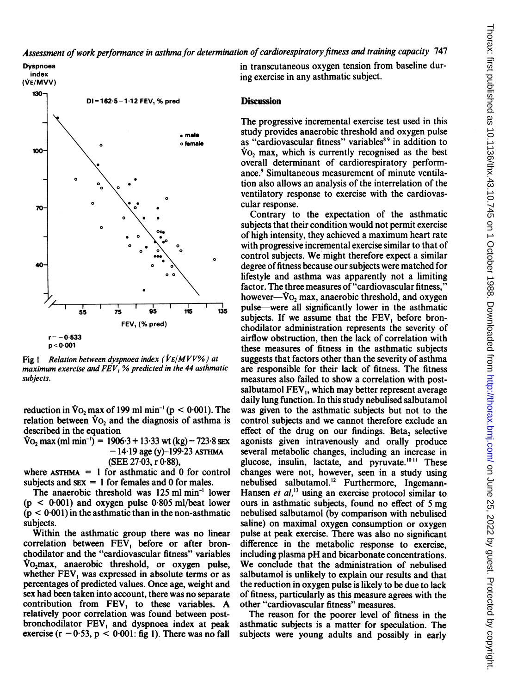

Fig 1 Relation between dyspnoea index ( $V$ E/MVV%) at maximum exercise and  $FEV$ , % predicted in the 44 asthmatic subjects.

reduction in  $\dot{V}$ O<sub>2</sub> max of 199 ml min<sup>-1</sup> (p < 0.001). The relation between  $\dot{V}o_2$  and the diagnosis of asthma is described in the equation

 $\text{Vo}_2$  max (ml min<sup>-1</sup>) = 1906 $\cdot$ 3 + 13 $\cdot$ 33 wt (kg) – 723 $\cdot$ 8 sex  $-14.19$  age (y)-199.23 ASTHMA (SEE 27-03, <sup>r</sup> 0 88),

where  $ASTHMA = 1$  for asthmatic and 0 for control subjects and  $sex = 1$  for females and 0 for males.

The anaerobic threshold was 125 ml min-' lower  $(p < 0.001)$  and oxygen pulse 0.805 ml/beat lower  $(p < 0.001)$  in the asthmatic than in the non-asthmatic subjects.

Within the asthmatic group there was no linear correlation between FEV, before or after bronchodilator and the "cardiovascular fitness" variables  $Vo<sub>2</sub>$  vo<sub>2</sub>max, anaerobic threshold, or oxygen pulse, whether  $FEV<sub>1</sub>$  was expressed in absolute terms or as percentages of predicted values. Once age, weight and sex had been taken into account, there was no separate contribution from FEV, to these variables. A relatively poor correlation was found between postbronchodilator FEV, and dyspnoea index at peak exercise ( $r - 0.53$ ,  $p < 0.001$ : fig 1). There was no fall

in transcutaneous oxygen tension from baseline during exercise in any asthmatic subject.

#### **Discussion**

The progressive incremental exercise test used in this study provides anaerobic threshold and oxygen pulse as "cardiovascular fitness" variables<sup>89</sup> in addition to Vo<sub>2</sub> max, which is currently recognised as the best overall determinant of cardiorespiratory performance.<sup>9</sup> Simultaneous measurement of minute ventilation also allows an analysis of the interrelation of the ventilatory response to exercise with the cardiovascular response.

Contrary to the expectation of the asthmatic subjects that their condition would not permit exercise of high intensity, they achieved a maximum heart rate with progressive incremental exercise similar to that of control subjects. We might therefore expect <sup>a</sup> similar degree of fitness because our subjects were matched for lifestyle and asthma was apparently not a limiting factor. The three measures of "cardiovascular fitness," however- $\dot{V}$ o, max, anaerobic threshold, and oxygen pulse-were all significantly lower in the asthmatic subjects. If we assume that the FEV, before bronchodilator administration represents the severity of airflow obstruction, then the lack of correlation with these measures of fitness in the asthmatic subjects suggests that factors other than the severity of asthma are responsible for their lack of fitness. The fitness measures also failed to show a correlation with postsalbutamol  $FEV<sub>1</sub>$ , which may better represent average daily lung function. In this study nebulised salbutamol was given to the asthmatic subjects but not to the control subjects and we cannot therefore exclude an effect of the drug on our findings. Beta, selective agonists given intravenously and orally produce several metabolic changes, including an increase in glucose, insulin, lactate, and pyruvate.<sup>1011</sup> These changes were not, however, seen in a study using nebulised salbutamol.'2 Furthermore, Ingemann-Hansen et  $al$ .<sup>13</sup> using an exercise protocol similar to ours in asthmatic subjects, found no effect of <sup>5</sup> mg nebulised salbutamol (by comparison with nebulised saline) on maximal oxygen consumption or oxygen pulse at peak exercise. There was also no significant difference in the metabolic response to exercise, including plasma pH and bicarbonate concentrations. We conclude that the administration of nebulised salbutamol is unlikely to explain our results and that the reduction in oxygen pulse is likely to be due to lack of fitness, particularly as this measure agrees with the other "cardiovascular fitness" measures.

The reason for the poorer level of fitness in the asthmatic subjects is a matter for speculation. The subjects were young adults and possibly in early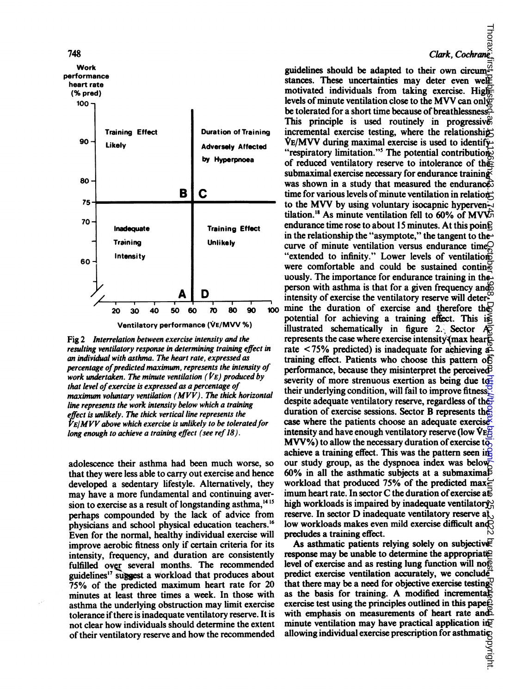

Fig 2 Interrelation between exercise intensity and the resulting ventilatory response in determining training effect in an individual with asthma. The heart rate, expressed as percentage of predicted maximum, represents the intensity of work undertaken. The minute ventilation ( $\dot{V}$ E) produced by that level of exercise is expressed as a percentage of maximum voluntary ventilation  $(MVV)$ . The thick horizontal line represents the work intensity below which a training effect is unlikely. The thick vertical line represents the  $\dot{V}E/MVV$  above which exercise is unlikely to be tolerated for long enough to achieve a training effect (see ref 18).

adolescence their asthma had been much worse, so that they were less able to carry out exercise and hence developed a sedentary lifestyle. Alternatively, they may have a more fundamental and continuing aversion to exercise as a result of longstanding asthma,<sup>1415</sup> perhaps compounded by the lack of advice from physicians and school physical education teachers.'6 Even for the normal, healthy individual exercise will improve aerobic fitness only if certain criteria for its intensity, frequency, and duration are consistently fulfilled over several months. The recommended guidelines<sup>17</sup> suggest a workload that produces about 75% of the predicted maximum heart rate for 20 minutes at least three times a week. In those with asthma the underlying obstruction may limit exercise tolerance if there is inadequate ventilatory reserve. It is not clear how individuals should determine the extent of their ventilatory reserve and how the recommended

# Clark, Cochrane

guidelines should be adapted to their own circum<sup> $\vec{x}$ </sup> stances. These uncertainties may deter even well motivated individuals from taking exercise. High levels of minute ventilation close to the MVV can only be tolerated for a short time because of breathlessness. This principle is used routinely in progressives incremental exercise testing, where the relationship-VE/MVV during maximal exercise is used to identify "respiratory limitation."<sup>5</sup> The potential contribution. of reduced ventilatory reserve to intolerance of the submaximal exercise necessary for endurance training was shown in a study that measured the endurance. time for various levels of minute ventilation in relation to the MVV by using voluntary isocapnic hyperven- $\overline{\mathcal{L}}$ tilation.<sup>18</sup> As minute ventilation fell to 60% of MVV<sub>5</sub> endurance time rose to about 15 minutes. At this poin $\mathbb R$ in the relationship the "asymptote," the tangent to the curve of minute ventilation versus endurance time $Q$ "extended to infinity." Lower levels of ventilations were comfortable and could be sustained contin $\mathcal{F}$ uously. The importance for endurance training in the $\overline{\phantom{a}}$ person with asthma is that for a given frequency and intensity of exercise the ventilatory reserve will deter- $100$  mine the duration of exercise and therefore the potential for achieving a training effect. This is illustrated schematically in figure 2. Sector  $A\overline{Q}$ represents the case where exercise intensity  $\gamma$  max hear  $\bar{D}$ rate  $\lt$ 75% predicted) is inadequate for achieving  $a\overrightarrow{2}$ training effect. Patients who choose this pattern of performance, because they misinterpret the perceived severity of more strenuous exertion as being due totheir underlying condition, will fail to improve fitness. despite adequate ventilatory reserve, regardless of the duration of exercise sessions. Sector B represents the case where the patients choose an adequate exercise intensity and have enough ventilatory reserve (low  $VEE$  $MVW\%$ ) to allow the necessary duration of exercise to achieve a training effect. This was the pattern seen in our study group, as the dyspnoea index was below 60% in all the asthmatic subjects at a submaximal workload that produced 75% of the predicted max $\in$ imum heart rate. In sector C the duration of exercise a $\vec{E}$ high workloads is impaired by inadequate ventilatory. reserve. In sector D inadequate ventilatory reserve  $a_{k}$ , low workloads makes even mild exercise difficult and precludes a training effect. on June 25, 2022 by guest. Protected by copyright. <http://thorax.bmj.com/> Thorax: first published as 10.1136/thx.43.10.745 on 1 October 1988. Downloaded from

As asthmatic patients relying solely on subjective response may be unable to determine the appropriate level of exercise and as resting lung function will no $\bar{p}$ predict exercise ventilation accurately, we conclude that there may be a need for objective exercise testing. as the basis for training. A modified incremental exercise test using the principles outlined in this pape $\hat{E}$ with emphasis on measurements of heart rate and  $\Sigma$ minute ventilation may have practical application in  $\mathbb{F}$ allowing individual exercise prescription for asthmatic<br>  $\frac{1}{2}$ <br>  $\frac{1}{2}$ <br>  $\frac{1}{2}$